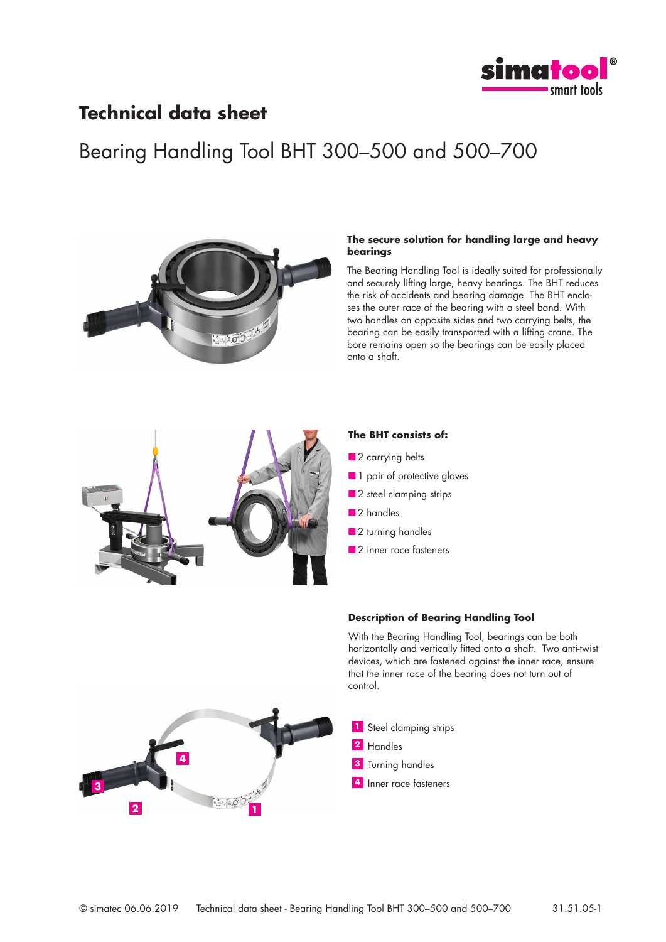

### **Technical data sheet**

## Bearing Handling Tool BHT 300–500 and 500–700



### **The secure solution for handling large and heavy bearings**

The Bearing Handling Tool is ideally suited for professionally and securely lifting large, heavy bearings. The BHT reduces the risk of accidents and bearing damage. The BHT encloses the outer race of the bearing with a steel band. With two handles on opposite sides and two carrying belts, the bearing can be easily transported with a lifting crane. The bore remains open so the bearings can be easily placed onto a shaft.



### **The BHT consists of:**

- 2 carrying belts
- 1 pair of protective gloves
- 2 steel clamping strips
- 2 handles
- 2 turning handles
- 2 inner race fasteners

### **Description of Bearing Handling Tool**

With the Bearing Handling Tool, bearings can be both horizontally and vertically fitted onto a shaft. Two anti-twist devices, which are fastened against the inner race, ensure that the inner race of the bearing does not turn out of control.